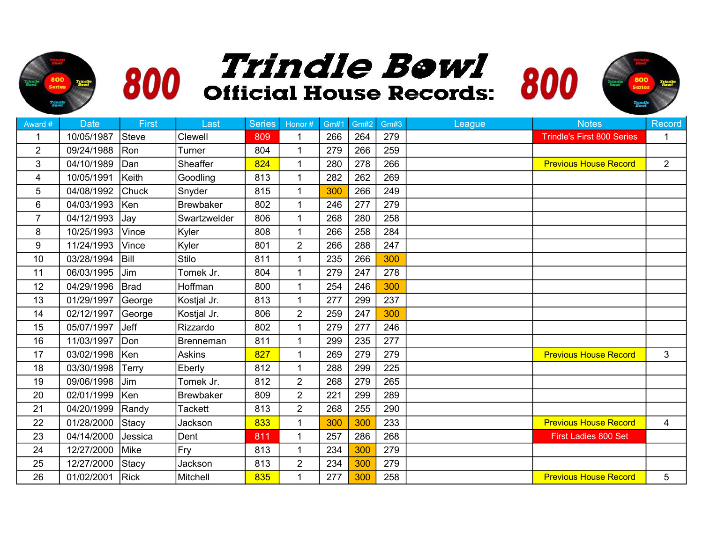



800<br>Series

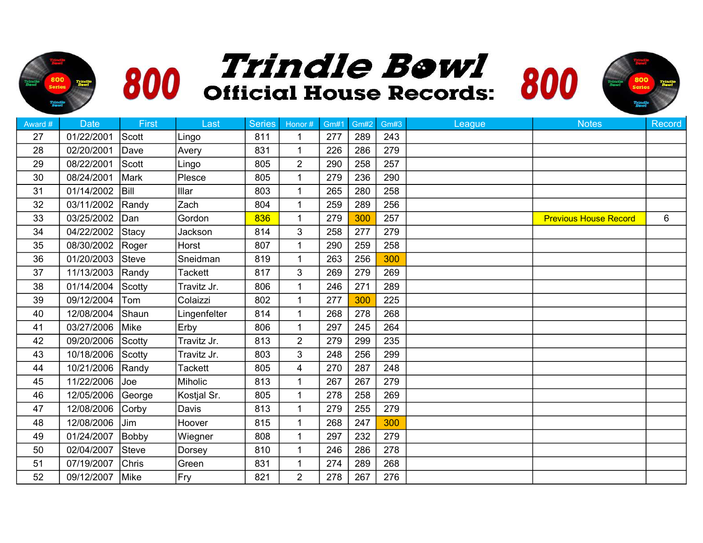



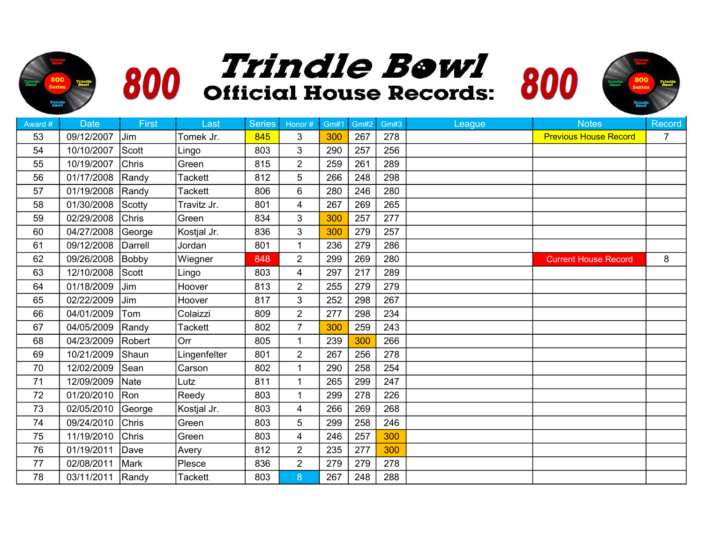



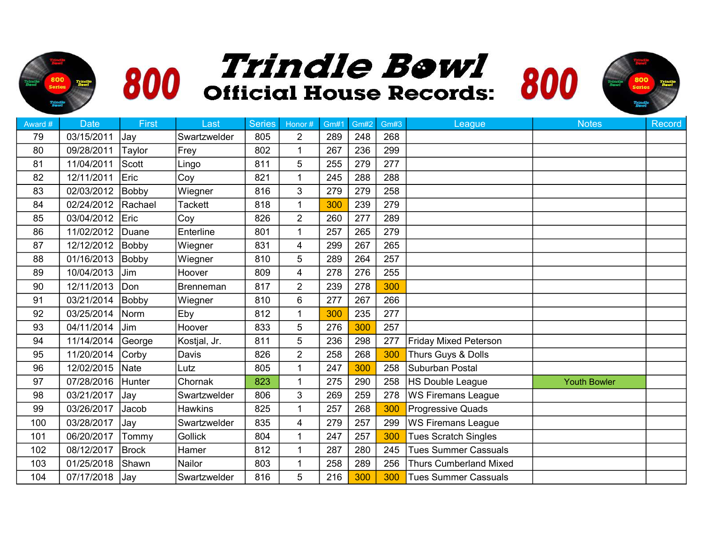



| Award # | <b>Date</b> | First        | Last             | <b>Series</b> | Honor#         | <b>Gm#1</b> | <b>Gm#2</b> | Gm#3 | League                        | <b>Notes</b>        | <b>Record</b> |
|---------|-------------|--------------|------------------|---------------|----------------|-------------|-------------|------|-------------------------------|---------------------|---------------|
| 79      | 03/15/2011  | <b>Jay</b>   | Swartzwelder     | 805           | $\overline{2}$ | 289         | 248         | 268  |                               |                     |               |
| 80      | 09/28/2011  | Taylor       | Frey             | 802           | $\mathbf 1$    | 267         | 236         | 299  |                               |                     |               |
| 81      | 11/04/2011  | Scott        | Lingo            | 811           | 5              | 255         | 279         | 277  |                               |                     |               |
| 82      | 12/11/2011  | Eric         | Coy              | 821           |                | 245         | 288         | 288  |                               |                     |               |
| 83      | 02/03/2012  | Bobby        | Wiegner          | 816           | 3              | 279         | 279         | 258  |                               |                     |               |
| 84      | 02/24/2012  | Rachael      | <b>Tackett</b>   | 818           | 1              | 300         | 239         | 279  |                               |                     |               |
| 85      | 03/04/2012  | Eric         | Coy              | 826           | $\overline{2}$ | 260         | 277         | 289  |                               |                     |               |
| 86      | 11/02/2012  | Duane        | Enterline        | 801           | $\mathbf 1$    | 257         | 265         | 279  |                               |                     |               |
| 87      | 12/12/2012  | Bobby        | Wiegner          | 831           | 4              | 299         | 267         | 265  |                               |                     |               |
| 88      | 01/16/2013  | Bobby        | Wiegner          | 810           | 5              | 289         | 264         | 257  |                               |                     |               |
| 89      | 10/04/2013  | Jim          | Hoover           | 809           | 4              | 278         | 276         | 255  |                               |                     |               |
| 90      | 12/11/2013  | Don          | <b>Brenneman</b> | 817           | $\overline{2}$ | 239         | 278         | 300  |                               |                     |               |
| 91      | 03/21/2014  | Bobby        | Wiegner          | 810           | 6              | 277         | 267         | 266  |                               |                     |               |
| 92      | 03/25/2014  | Norm         | Eby              | 812           | 1              | 300         | 235         | 277  |                               |                     |               |
| 93      | 04/11/2014  | Jim          | Hoover           | 833           | 5              | 276         | 300         | 257  |                               |                     |               |
| 94      | 11/14/2014  | George       | Kostjal, Jr.     | 811           | 5              | 236         | 298         | 277  | Friday Mixed Peterson         |                     |               |
| 95      | 11/20/2014  | Corby        | Davis            | 826           | $\overline{2}$ | 258         | 268         | 300  | Thurs Guys & Dolls            |                     |               |
| 96      | 12/02/2015  | Nate         | Lutz             | 805           | $\mathbf{1}$   | 247         | 300         | 258  | Suburban Postal               |                     |               |
| 97      | 07/28/2016  | Hunter       | Chornak          | 823           | 1              | 275         | 290         | 258  | HS Double League              | <b>Youth Bowler</b> |               |
| 98      | 03/21/2017  | Jay          | Swartzwelder     | 806           | 3              | 269         | 259         | 278  | WS Firemans League            |                     |               |
| 99      | 03/26/2017  | Jacob        | <b>Hawkins</b>   | 825           | 1              | 257         | 268         | 300  | Progressive Quads             |                     |               |
| 100     | 03/28/2017  | Jay          | Swartzwelder     | 835           | 4              | 279         | 257         | 299  | <b>WS Firemans League</b>     |                     |               |
| 101     | 06/20/2017  | Tommy        | <b>Gollick</b>   | 804           | $\mathbf 1$    | 247         | 257         | 300  | <b>Tues Scratch Singles</b>   |                     |               |
| 102     | 08/12/2017  | <b>Brock</b> | Hamer            | 812           | 1              | 287         | 280         | 245  | <b>Tues Summer Cassuals</b>   |                     |               |
| 103     | 01/25/2018  | Shawn        | Nailor           | 803           |                | 258         | 289         | 256  | <b>Thurs Cumberland Mixed</b> |                     |               |
| 104     | 07/17/2018  | <b>Jav</b>   | Swartzwelder     | 816           | 5              | 216         | 300         | 300  | Tues Summer Cassuals          |                     |               |